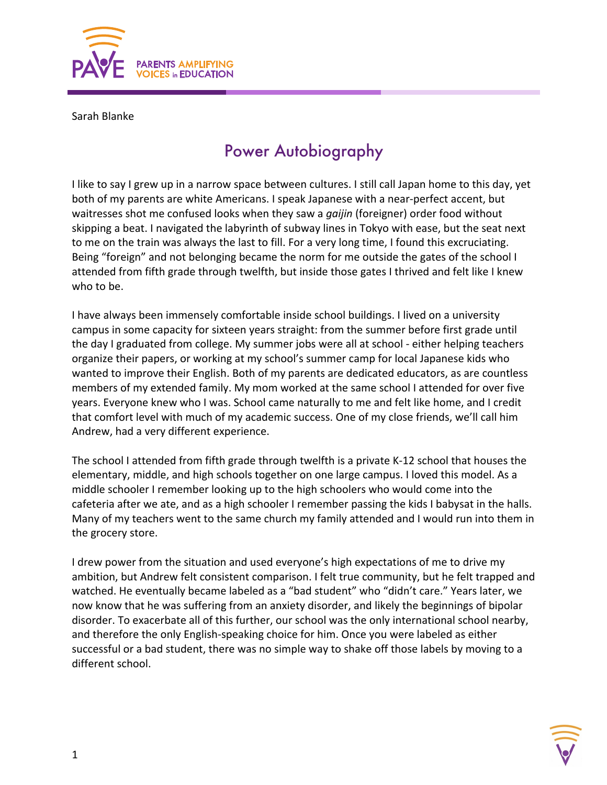

Sarah Blanke

## Power Autobiography

I like to say I grew up in a narrow space between cultures. I still call Japan home to this day, yet both of my parents are white Americans. I speak Japanese with a near-perfect accent, but waitresses shot me confused looks when they saw a *gaijin* (foreigner) order food without skipping a beat. I navigated the labyrinth of subway lines in Tokyo with ease, but the seat next to me on the train was always the last to fill. For a very long time, I found this excruciating. Being "foreign" and not belonging became the norm for me outside the gates of the school I attended from fifth grade through twelfth, but inside those gates I thrived and felt like I knew who to be.

I have always been immensely comfortable inside school buildings. I lived on a university campus in some capacity for sixteen years straight: from the summer before first grade until the day I graduated from college. My summer jobs were all at school - either helping teachers organize their papers, or working at my school's summer camp for local Japanese kids who wanted to improve their English. Both of my parents are dedicated educators, as are countless members of my extended family. My mom worked at the same school I attended for over five years. Everyone knew who I was. School came naturally to me and felt like home, and I credit that comfort level with much of my academic success. One of my close friends, we'll call him Andrew, had a very different experience.

The school I attended from fifth grade through twelfth is a private K-12 school that houses the elementary, middle, and high schools together on one large campus. I loved this model. As a middle schooler I remember looking up to the high schoolers who would come into the cafeteria after we ate, and as a high schooler I remember passing the kids I babysat in the halls. Many of my teachers went to the same church my family attended and I would run into them in the grocery store.

I drew power from the situation and used everyone's high expectations of me to drive my ambition, but Andrew felt consistent comparison. I felt true community, but he felt trapped and watched. He eventually became labeled as a "bad student" who "didn't care." Years later, we now know that he was suffering from an anxiety disorder, and likely the beginnings of bipolar disorder. To exacerbate all of this further, our school was the only international school nearby, and therefore the only English-speaking choice for him. Once you were labeled as either successful or a bad student, there was no simple way to shake off those labels by moving to a different school.

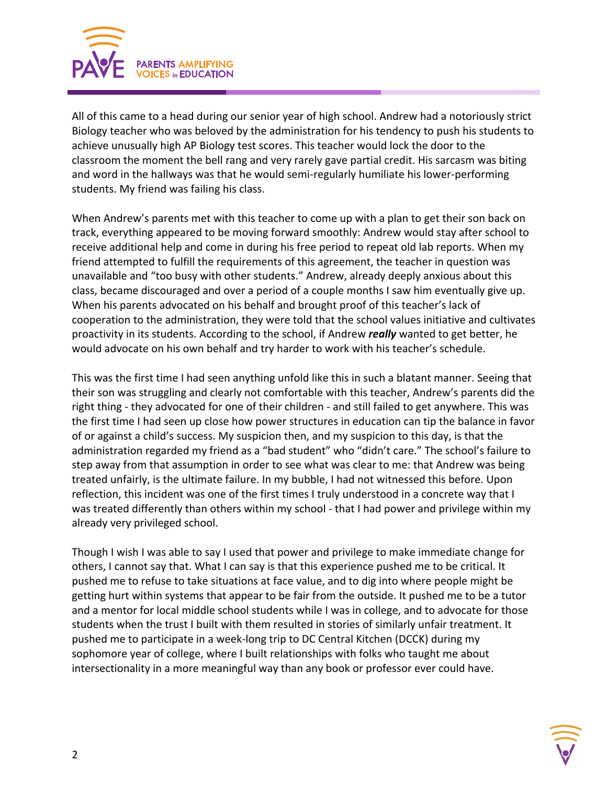

All of this came to a head during our senior year of high school. Andrew had a notoriously strict Biology teacher who was beloved by the administration for his tendency to push his students to achieve unusually high AP Biology test scores. This teacher would lock the door to the classroom the moment the bell rang and very rarely gave partial credit. His sarcasm was biting and word in the hallways was that he would semi-regularly humiliate his lower-performing students. My friend was failing his class.

When Andrew's parents met with this teacher to come up with a plan to get their son back on track, everything appeared to be moving forward smoothly: Andrew would stay after school to receive additional help and come in during his free period to repeat old lab reports. When my friend attempted to fulfill the requirements of this agreement, the teacher in question was unavailable and "too busy with other students." Andrew, already deeply anxious about this class, became discouraged and over a period of a couple months I saw him eventually give up. When his parents advocated on his behalf and brought proof of this teacher's lack of cooperation to the administration, they were told that the school values initiative and cultivates proactivity in its students. According to the school, if Andrew *really* wanted to get better, he would advocate on his own behalf and try harder to work with his teacher's schedule.

This was the first time I had seen anything unfold like this in such a blatant manner. Seeing that their son was struggling and clearly not comfortable with this teacher, Andrew's parents did the right thing - they advocated for one of their children - and still failed to get anywhere. This was the first time I had seen up close how power structures in education can tip the balance in favor of or against a child's success. My suspicion then, and my suspicion to this day, is that the administration regarded my friend as a "bad student" who "didn't care." The school's failure to step away from that assumption in order to see what was clear to me: that Andrew was being treated unfairly, is the ultimate failure. In my bubble, I had not witnessed this before. Upon reflection, this incident was one of the first times I truly understood in a concrete way that I was treated differently than others within my school - that I had power and privilege within my already very privileged school.

Though I wish I was able to say I used that power and privilege to make immediate change for others, I cannot say that. What I can say is that this experience pushed me to be critical. It pushed me to refuse to take situations at face value, and to dig into where people might be getting hurt within systems that appear to be fair from the outside. It pushed me to be a tutor and a mentor for local middle school students while I was in college, and to advocate for those students when the trust I built with them resulted in stories of similarly unfair treatment. It pushed me to participate in a week-long trip to DC Central Kitchen (DCCK) during my sophomore year of college, where I built relationships with folks who taught me about intersectionality in a more meaningful way than any book or professor ever could have.